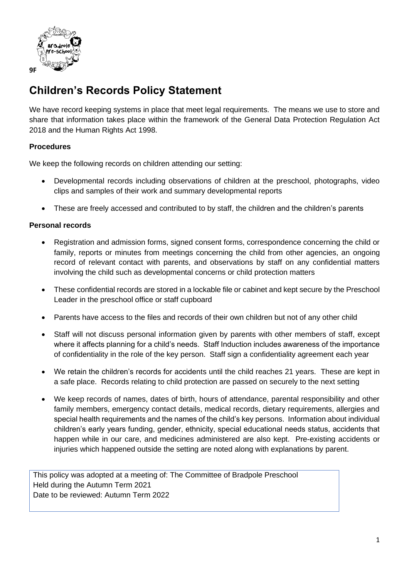

## **Children's Records Policy Statement**

We have record keeping systems in place that meet legal requirements. The means we use to store and share that information takes place within the framework of the General Data Protection Regulation Act 2018 and the Human Rights Act 1998.

## **Procedures**

We keep the following records on children attending our setting:

- Developmental records including observations of children at the preschool, photographs, video clips and samples of their work and summary developmental reports
- These are freely accessed and contributed to by staff, the children and the children's parents

## **Personal records**

- Registration and admission forms, signed consent forms, correspondence concerning the child or family, reports or minutes from meetings concerning the child from other agencies, an ongoing record of relevant contact with parents, and observations by staff on any confidential matters involving the child such as developmental concerns or child protection matters
- These confidential records are stored in a lockable file or cabinet and kept secure by the Preschool Leader in the preschool office or staff cupboard
- Parents have access to the files and records of their own children but not of any other child
- Staff will not discuss personal information given by parents with other members of staff, except where it affects planning for a child's needs. Staff Induction includes awareness of the importance of confidentiality in the role of the key person. Staff sign a confidentiality agreement each year
- We retain the children's records for accidents until the child reaches 21 years. These are kept in a safe place. Records relating to child protection are passed on securely to the next setting
- We keep records of names, dates of birth, hours of attendance, parental responsibility and other family members, emergency contact details, medical records, dietary requirements, allergies and special health requirements and the names of the child's key persons. Information about individual children's early years funding, gender, ethnicity, special educational needs status, accidents that happen while in our care, and medicines administered are also kept. Pre-existing accidents or injuries which happened outside the setting are noted along with explanations by parent.

This policy was adopted at a meeting of: The Committee of Bradpole Preschool Held during the Autumn Term 2021 Date to be reviewed: Autumn Term 2022